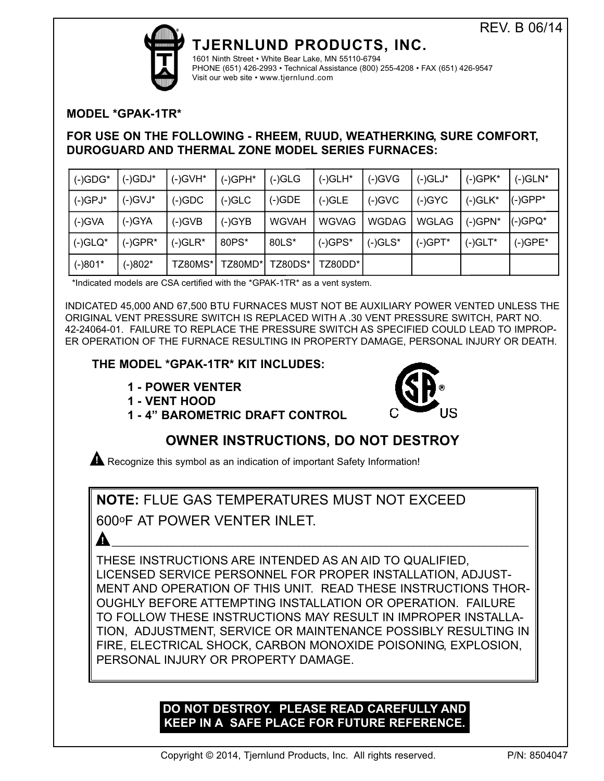

# **TJERNLUND PRODUCTS, INC.**

1601 Ninth Street • White Bear Lake, MN 55110-6794 PHONE (651) 426-2993 • Technical Assistance (800) 255-4208 • FAX (651) 426-9547 Visit our web site • www.tjernlund.com

## **MODEL \*GPAK-1TR\***

## **FOR USE ON THE FOLLOWING - RHEEM, RUUD, WEATHERKING, SURE COMFORT, DUROGUARD AND THERMAL ZONE MODEL SERIES FURNACES:**

| $(-)$ GDG* | (-)GDJ*    | $(-)$ GVH* | $(-)$ GPH $*$ | $(-)GLG$     | $(-)GLH^*$   | $(-)$ GVG    | $(-)GLJ^*$   | $(-)$ GPK* | $(-)GLN^*$  |
|------------|------------|------------|---------------|--------------|--------------|--------------|--------------|------------|-------------|
| $(-)$ GPJ* | $(-)$ GVJ* | $(-)$ GDC  | $(-)$ GLC     | $(-)GDE$     | $(-)$ GLE    | $(-)$ GVC    | $(-)$ GYC    | $(-)GLK^*$ | $ (-)GPP^*$ |
| $(-)$ GVA  | $(-)$ GYA  | $(-)$ GVB  | $(-)$ GYB     | <b>WGVAH</b> | <b>WGVAG</b> | <b>WGDAG</b> | <b>WGLAG</b> | $(-)$ GPN* | (-)GPQ*     |
| $(-)GLQ*$  | (-)GPR*    | $(-)GLR^*$ | 80PS*         | 80LS*        | $(-)$ GPS*   | $(-)GLS^*$   | $(-)$ GPT*   | $(-)$ GLT* | $(-)$ GPE*  |
| $(-)801*$  | (-)802*    | TZ80MS*    | TZ80MD*l      | TZ80DS*      | TZ80DD*l     |              |              |            |             |

\*Indicated models are CSA certified with the \*GPAK-1TR\* as a vent system.

INDICATED 45,000 AND 67,500 BTU FURNACES MUST NOT BE AUXILIARY POWER VENTED UNLESS THE ORIGINAL VENT PRESSURE SWITCH IS REPLACED WITH A .30 VENT PRESSURE SWITCH, PART NO. 42-24064-01. FAILURE TO REPLACE THE PRESSURE SWITCH AS SPECIFIED COULD LEAD TO IMPROP-ER OPERATION OF THE FURNACE RESULTING IN PROPERTY DAMAGE, PERSONAL INJURY OR DEATH.

## **THE MODEL \*GPAK-1TR\* KIT INCLUDES:**

- **1 POWER VENTER**
- **1 VENT HOOD**



**1 - 4" BAROMETRIC DRAFT CONTROL** 

# **OWNER INSTRUCTIONS, DO NOT DESTROY**

**A** Recognize this symbol as an indication of important Safety Information!

**NOTE:** FLUE GAS TEMPERATURES MUST NOT EXCEED

600oF AT POWER VENTER INLET.

THESE INSTRUCTIONS ARE INTENDED AS AN AID TO QUALIFIED, LICENSED SERVICE PERSONNEL FOR PROPER INSTALLATION, ADJUST-MENT AND OPERATION OF THIS UNIT. READ THESE INSTRUCTIONS THOR-OUGHLY BEFORE ATTEMPTING INSTALLATION OR OPERATION. FAILURE TO FOLLOW THESE INSTRUCTIONS MAY RESULT IN IMPROPER INSTALLA-TION, ADJUSTMENT, SERVICE OR MAINTENANCE POSSIBLY RESULTING IN FIRE, ELECTRICAL SHOCK, CARBON MONOXIDE POISONING, EXPLOSION, PERSONAL INJURY OR PROPERTY DAMAGE.

**!** \_\_\_\_\_\_\_\_\_\_\_\_\_\_\_\_\_\_\_\_\_\_\_\_\_\_\_\_\_\_\_\_\_\_\_\_\_\_\_\_\_\_\_\_\_\_\_\_\_\_\_\_\_\_\_\_\_\_\_\_\_\_\_\_\_\_\_\_\_\_\_\_\_\_\_\_

## **DO NOT DESTROY. PLEASE READ CAREFULLY AND KEEP IN A SAFE PLACE FOR FUTURE REFERENCE.**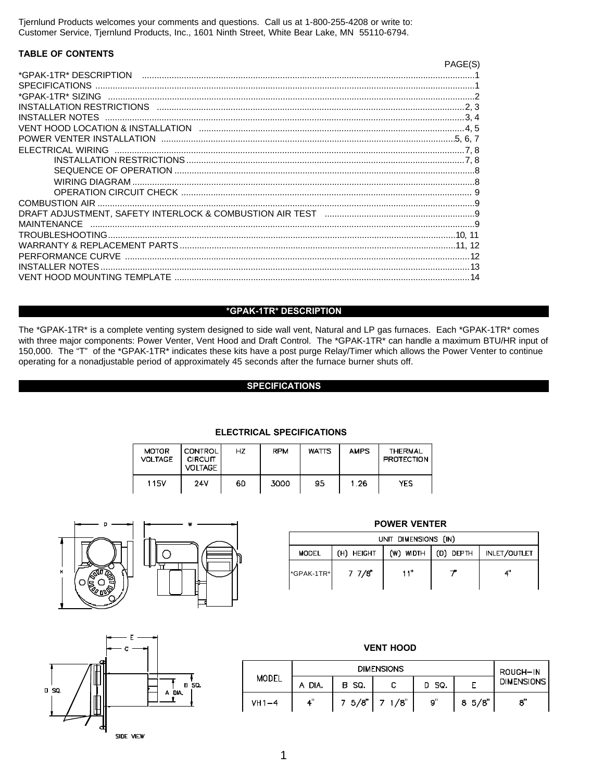Tjernlund Products welcomes your comments and questions. Call us at 1-800-255-4208 or write to: Customer Service, Tjernlund Products, Inc., 1601 Ninth Street, White Bear Lake, MN 55110-6794.

#### **TABLE OF CONTENTS**

|                                                                                                             | PAGE(S |
|-------------------------------------------------------------------------------------------------------------|--------|
|                                                                                                             |        |
| <b>SPECIFICATIONS</b>                                                                                       |        |
| *GPAK-1TR* SIZING                                                                                           |        |
|                                                                                                             |        |
| INSTALLER NOTES                                                                                             |        |
|                                                                                                             |        |
|                                                                                                             |        |
| FLECTRICAL WIRING                                                                                           |        |
|                                                                                                             |        |
|                                                                                                             |        |
|                                                                                                             |        |
|                                                                                                             |        |
|                                                                                                             |        |
| DRAFT ADJUSTMENT. SAFETY INTERLOCK & COMBUSTION AIR TEST munically contain the content of DRAFT ADJUSTMENT. |        |
| MAINTENANCE                                                                                                 |        |
|                                                                                                             |        |
|                                                                                                             |        |
| PERFORMANCE CURVE                                                                                           |        |
| INSTALLER NOTES                                                                                             |        |
|                                                                                                             |        |

#### \*GPAK-1TR\* DESCRIPTION

The \*GPAK-1TR\* is a complete venting system designed to side wall vent, Natural and LP gas furnaces. Each \*GPAK-1TR\* comes with three major components: Power Venter, Vent Hood and Draft Control. The \*GPAK-1TR\* can handle a maximum BTU/HR input of 150,000. The "T" of the \*GPAK-1TR\* indicates these kits have a post purge Relay/Timer which allows the Power Venter to continue operating for a nonadjustable period of approximately 45 seconds after the furnace burner shuts off.

### **SPECIFICATIONS**

| <b>MOTOR</b><br><b>VOLTAGE</b> | <b>CONTROL</b><br><b>CIRCUIT</b><br><b>VOLTAGE</b> | HZ | <b>RPM</b> | <b>WATTS</b> | <b>AMPS</b> | <b>THERMAL</b><br><b>PROTECTION</b> |
|--------------------------------|----------------------------------------------------|----|------------|--------------|-------------|-------------------------------------|
| 115V                           | 24V                                                | 60 | 3000       | 95           | -26         | YES                                 |

#### **ELECTRICAL SPECIFICATIONS**



| <b>FUWER VENIER</b>  |            |          |           |                     |  |  |  |
|----------------------|------------|----------|-----------|---------------------|--|--|--|
| UNIT DIMENSIONS (IN) |            |          |           |                     |  |  |  |
| <b>MODEL</b>         | (H) HEIGHT | (W) MDTH | (D) DEPTH | <b>INLET/OUTLET</b> |  |  |  |
| *GPAK-1TR*           | 7 7/8      | 11"      |           |                     |  |  |  |
|                      |            |          |           |                     |  |  |  |

**DOWED VENTED** 



| <b>VENT HOOD</b> |        |          |                    |       |      |                   |
|------------------|--------|----------|--------------------|-------|------|-------------------|
| MODEL            |        | ROUGH-IN |                    |       |      |                   |
|                  | A DIA. | B SQ.    |                    | D 5Q. |      | <b>DIMENSIONS</b> |
| $VH1-4$          | 4"     |          | $7\;5/8"$ 7 $1/8"$ | 9.    | 85/8 | $\mathbf{s}'$     |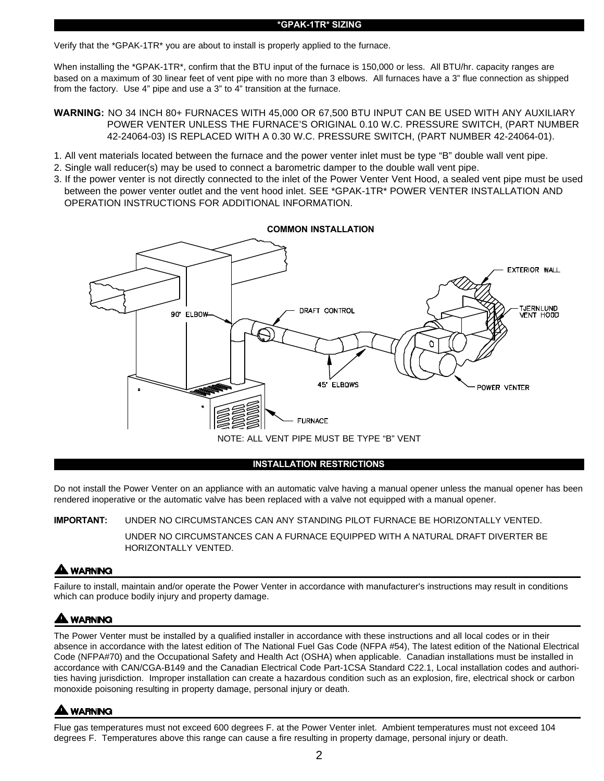#### **\*GPAK-1TR\* SIZING**

Verify that the \*GPAK-1TR\* you are about to install is properly applied to the furnace.

When installing the \*GPAK-1TR\*, confirm that the BTU input of the furnace is 150,000 or less. All BTU/hr. capacity ranges are based on a maximum of 30 linear feet of vent pipe with no more than 3 elbows. All furnaces have a 3" flue connection as shipped from the factory. Use 4" pipe and use a 3" to 4" transition at the furnace.

**WARNING:** NO 34 INCH 80+ FURNACES WITH 45,000 OR 67,500 BTU INPUT CAN BE USED WITH ANY AUXILIARY POWER VENTER UNLESS THE FURNACE'S ORIGINAL 0.10 W.C. PRESSURE SWITCH, (PART NUMBER 42-24064-03) IS REPLACED WITH A 0.30 W.C. PRESSURE SWITCH, (PART NUMBER 42-24064-01).

- 1. All vent materials located between the furnace and the power venter inlet must be type "B" double wall vent pipe.
- 2. Single wall reducer(s) may be used to connect a barometric damper to the double wall vent pipe.
- 3. If the power venter is not directly connected to the inlet of the Power Venter Vent Hood, a sealed vent pipe must be used between the power venter outlet and the vent hood inlet. SEE \*GPAK-1TR\* POWER VENTER INSTALLATION AND OPERATION INSTRUCTIONS FOR ADDITIONAL INFORMATION.**I**



#### **INSTALLATION RESTRICTIONS**

Do not install the Power Venter on an appliance with an automatic valve having a manual opener unless the manual opener has been rendered inoperative or the automatic valve has been replaced with a valve not equipped with a manual opener.

#### **IMPORTANT:** UNDER NO CIRCUMSTANCES CAN ANY STANDING PILOT FURNACE BE HORIZONTALLY VENTED.

UNDER NO CIRCUMSTANCES CAN A FURNACE EQUIPPED WITH A NATURAL DRAFT DIVERTER BE HORIZONTALLY VENTED.

## **A WARNING**

Failure to install, maintain and/or operate the Power Venter in accordance with manufacturer's instructions may result in conditions which can produce bodily injury and property damage.

## **A WARNING**

The Power Venter must be installed by a qualified installer in accordance with these instructions and all local codes or in their absence in accordance with the latest edition of The National Fuel Gas Code (NFPA #54), The latest edition of the National Electrical Code (NFPA#70) and the Occupational Safety and Health Act (OSHA) when applicable. Canadian installations must be installed in accordance with CAN/CGA-B149 and the Canadian Electrical Code Part-1CSA Standard C22.1, Local installation codes and authorities having jurisdiction. Improper installation can create a hazardous condition such as an explosion, fire, electrical shock or carbon monoxide poisoning resulting in property damage, personal injury or death.

## **LWARNING**

Flue gas temperatures must not exceed 600 degrees F. at the Power Venter inlet. Ambient temperatures must not exceed 104 degrees F. Temperatures above this range can cause a fire resulting in property damage, personal injury or death.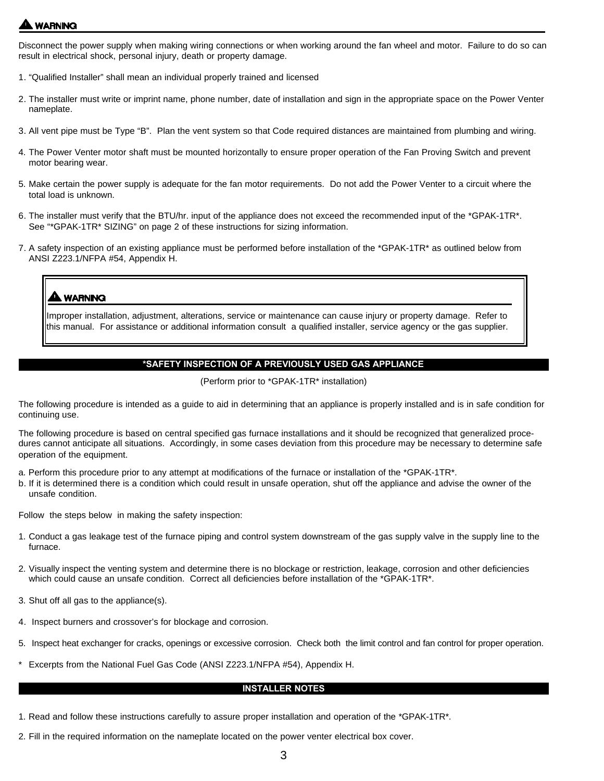# **WARNING**

Disconnect the power supply when making wiring connections or when working around the fan wheel and motor. Failure to do so can result in electrical shock, personal injury, death or property damage.

- 1. "Qualified Installer" shall mean an individual properly trained and licensed
- 2. The installer must write or imprint name, phone number, date of installation and sign in the appropriate space on the Power Venter nameplate.
- 3. All vent pipe must be Type "B". Plan the vent system so that Code required distances are maintained from plumbing and wiring.
- 4. The Power Venter motor shaft must be mounted horizontally to ensure proper operation of the Fan Proving Switch and prevent motor bearing wear.
- 5. Make certain the power supply is adequate for the fan motor requirements. Do not add the Power Venter to a circuit where the total load is unknown.
- 6. The installer must verify that the BTU/hr. input of the appliance does not exceed the recommended input of the \*GPAK-1TR\*. See "\*GPAK-1TR\* SIZING" on page 2 of these instructions for sizing information.
- 7. A safety inspection of an existing appliance must be performed before installation of the \*GPAK-1TR\* as outlined below from ANSI Z223.1/NFPA #54, Appendix H.

## **WARNING**

Improper installation, adjustment, alterations, service or maintenance can cause injury or property damage. Refer to this manual. For assistance or additional information consult a qualified installer, service agency or the gas supplier.

#### **\*SAFETY INSPECTION OF A PREVIOUSLY USED GAS APPLIANCE**

(Perform prior to \*GPAK-1TR\* installation)

The following procedure is intended as a guide to aid in determining that an appliance is properly installed and is in safe condition for continuing use.

The following procedure is based on central specified gas furnace installations and it should be recognized that generalized procedures cannot anticipate all situations. Accordingly, in some cases deviation from this procedure may be necessary to determine safe operation of the equipment.

- a. Perform this procedure prior to any attempt at modifications of the furnace or installation of the \*GPAK-1TR\*.
- b. If it is determined there is a condition which could result in unsafe operation, shut off the appliance and advise the owner of the unsafe condition.

Follow the steps below in making the safety inspection:

- 1. Conduct a gas leakage test of the furnace piping and control system downstream of the gas supply valve in the supply line to the furnace.
- 2. Visually inspect the venting system and determine there is no blockage or restriction, leakage, corrosion and other deficiencies which could cause an unsafe condition. Correct all deficiencies before installation of the \*GPAK-1TR\*.
- 3. Shut off all gas to the appliance(s).
- 4. Inspect burners and crossover's for blockage and corrosion.
- 5. Inspect heat exchanger for cracks, openings or excessive corrosion. Check both the limit control and fan control for proper operation.
- Excerpts from the National Fuel Gas Code (ANSI Z223.1/NFPA #54), Appendix H.

#### **INSTALLER NOTES**

- 1. Read and follow these instructions carefully to assure proper installation and operation of the \*GPAK-1TR\*.
- 2. Fill in the required information on the nameplate located on the power venter electrical box cover.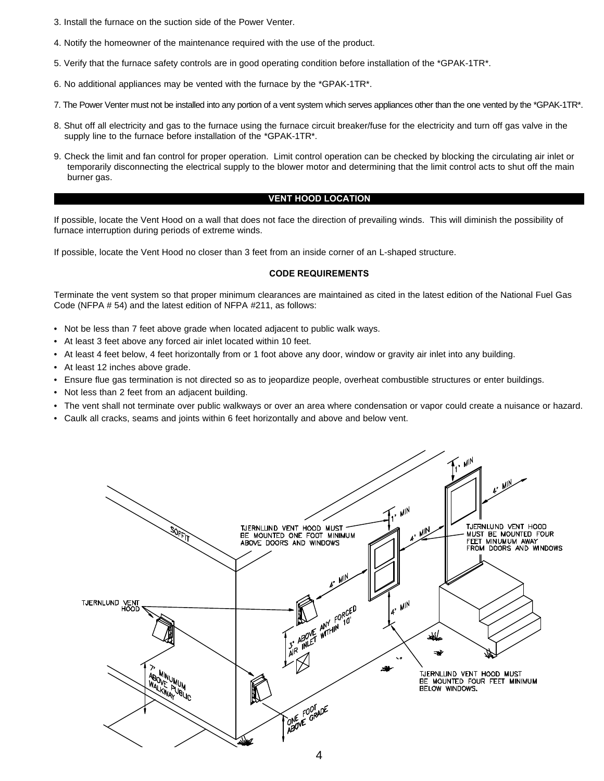- 3. Install the furnace on the suction side of the Power Venter.
- 4. Notify the homeowner of the maintenance required with the use of the product.
- 5. Verify that the furnace safety controls are in good operating condition before installation of the \*GPAK-1TR\*.
- 6. No additional appliances may be vented with the furnace by the \*GPAK-1TR\*.
- 7. The Power Venter must not be installed into any portion of a vent system which serves appliances other than the one vented by the \*GPAK-1TR\*.
- 8. Shut off all electricity and gas to the furnace using the furnace circuit breaker/fuse for the electricity and turn off gas valve in the supply line to the furnace before installation of the \*GPAK-1TR\*.
- 9. Check the limit and fan control for proper operation. Limit control operation can be checked by blocking the circulating air inlet or temporarily disconnecting the electrical supply to the blower motor and determining that the limit control acts to shut off the main burner gas.

#### **VENT HOOD LOCATION**

If possible, locate the Vent Hood on a wall that does not face the direction of prevailing winds. This will diminish the possibility of furnace interruption during periods of extreme winds.

If possible, locate the Vent Hood no closer than 3 feet from an inside corner of an L-shaped structure.

#### **CODE REQUIREMENTS**

Terminate the vent system so that proper minimum clearances are maintained as cited in the latest edition of the National Fuel Gas Code (NFPA # 54) and the latest edition of NFPA #211, as follows:

- Not be less than 7 feet above grade when located adjacent to public walk ways.
- At least 3 feet above any forced air inlet located within 10 feet.
- At least 4 feet below, 4 feet horizontally from or 1 foot above any door, window or gravity air inlet into any building.
- At least 12 inches above grade.
- Ensure flue gas termination is not directed so as to jeopardize people, overheat combustible structures or enter buildings.
- Not less than 2 feet from an adjacent building.
- The vent shall not terminate over public walkways or over an area where condensation or vapor could create a nuisance or hazard.
- Caulk all cracks, seams and joints within 6 feet horizontally and above and below vent.

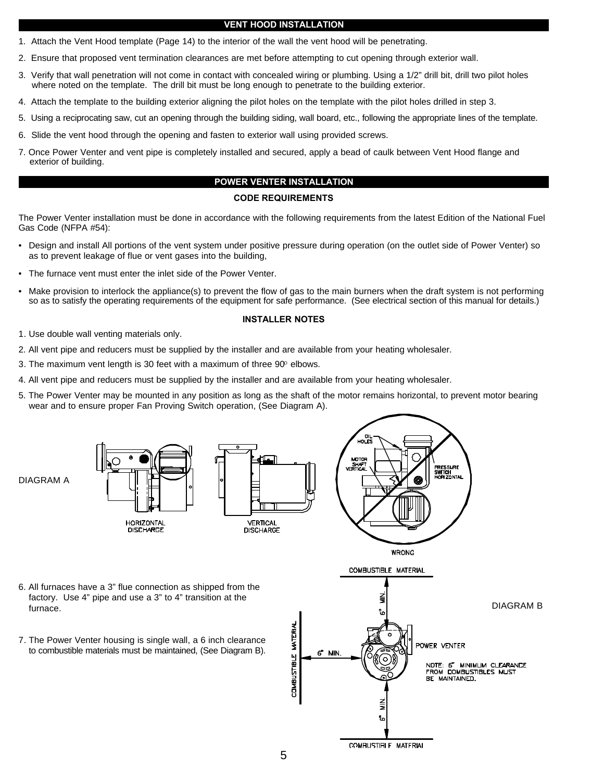#### **VENT HOOD INSTALLATION**

- 1. Attach the Vent Hood template (Page 14) to the interior of the wall the vent hood will be penetrating.
- 2. Ensure that proposed vent termination clearances are met before attempting to cut opening through exterior wall.
- 3. Verify that wall penetration will not come in contact with concealed wiring or plumbing. Using a 1/2" drill bit, drill two pilot holes where noted on the template. The drill bit must be long enough to penetrate to the building exterior.
- 4. Attach the template to the building exterior aligning the pilot holes on the template with the pilot holes drilled in step 3.
- 5. Using a reciprocating saw, cut an opening through the building siding, wall board, etc., following the appropriate lines of the template.
- 6. Slide the vent hood through the opening and fasten to exterior wall using provided screws.
- 7. Once Power Venter and vent pipe is completely installed and secured, apply a bead of caulk between Vent Hood flange and exterior of building.

#### **POWER VENTER INSTALLATION**

#### **CODE REQUIREMENTS**

The Power Venter installation must be done in accordance with the following requirements from the latest Edition of the National Fuel Gas Code (NFPA #54):

- Design and install All portions of the vent system under positive pressure during operation (on the outlet side of Power Venter) so as to prevent leakage of flue or vent gases into the building,
- The furnace vent must enter the inlet side of the Power Venter.
- Make provision to interlock the appliance(s) to prevent the flow of gas to the main burners when the draft system is not performing so as to satisfy the operating requirements of the equipment for safe performance. (See electrical section of this manual for details.)

#### **INSTALLER NOTES**

- 1. Use double wall venting materials only.
- 2. All vent pipe and reducers must be supplied by the installer and are available from your heating wholesaler.
- 3. The maximum vent length is 30 feet with a maximum of three  $90^{\circ}$  elbows.
- 4. All vent pipe and reducers must be supplied by the installer and are available from your heating wholesaler.
- 5. The Power Venter may be mounted in any position as long as the shaft of the motor remains horizontal, to prevent motor bearing wear and to ensure proper Fan Proving Switch operation, (See Diagram A).



COMPUSTIBLE MATERIAL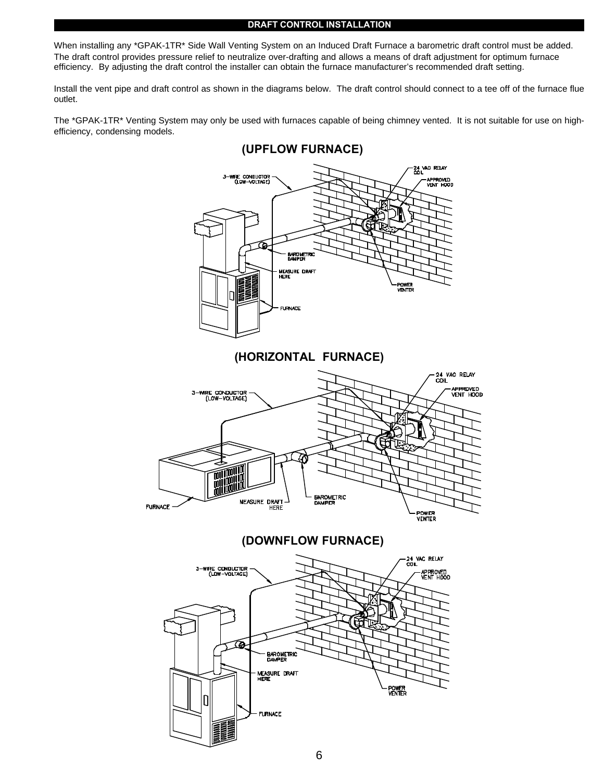#### **DRAFT CONTROL INSTALLATION**

When installing any \*GPAK-1TR\* Side Wall Venting System on an Induced Draft Furnace a barometric draft control must be added. The draft control provides pressure relief to neutralize over-drafting and allows a means of draft adjustment for optimum furnace efficiency. By adjusting the draft control the installer can obtain the furnace manufacturer's recommended draft setting.

Install the vent pipe and draft control as shown in the diagrams below. The draft control should connect to a tee off of the furnace flue outlet.

The \*GPAK-1TR\* Venting System may only be used with furnaces capable of being chimney vented. It is not suitable for use on highefficiency, condensing models.

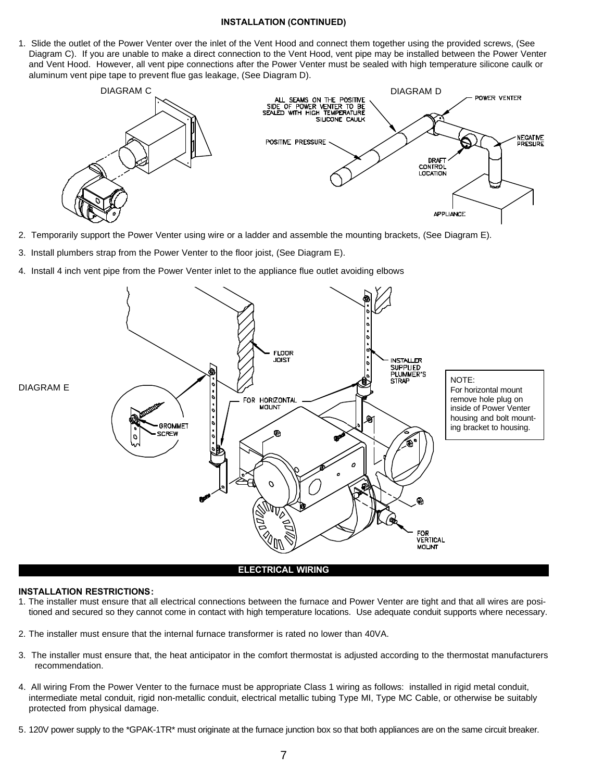#### **INSTALLATION (CONTINUED)**

1. Slide the outlet of the Power Venter over the inlet of the Vent Hood and connect them together using the provided screws, (See Diagram C). If you are unable to make a direct connection to the Vent Hood, vent pipe may be installed between the Power Venter and Vent Hood. However, all vent pipe connections after the Power Venter must be sealed with high temperature silicone caulk or aluminum vent pipe tape to prevent flue gas leakage, (See Diagram D).



- 2. Temporarily support the Power Venter using wire or a ladder and assemble the mounting brackets, (See Diagram E).
- 3. Install plumbers strap from the Power Venter to the floor joist, (See Diagram E).
- 4. Install 4 inch vent pipe from the Power Venter inlet to the appliance flue outlet avoiding elbows



#### **ELECTRICAL WIRING**

#### **INSTALLATION RESTRICTIONS:**

- 1. The installer must ensure that all electrical connections between the furnace and Power Venter are tight and that all wires are positioned and secured so they cannot come in contact with high temperature locations. Use adequate conduit supports where necessary.
- 2. The installer must ensure that the internal furnace transformer is rated no lower than 40VA.
- 3. The installer must ensure that, the heat anticipator in the comfort thermostat is adjusted according to the thermostat manufacturers recommendation.
- 4. All wiring From the Power Venter to the furnace must be appropriate Class 1 wiring as follows: installed in rigid metal conduit, intermediate metal conduit, rigid non-metallic conduit, electrical metallic tubing Type MI, Type MC Cable, or otherwise be suitably protected from physical damage.
- 5. 120V power supply to the \*GPAK-1TR\* must originate at the furnace junction box so that both appliances are on the same circuit breaker.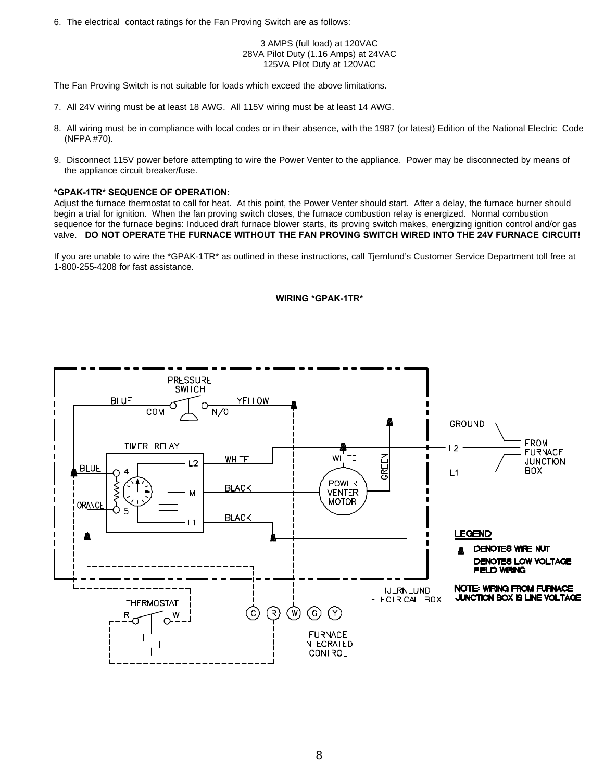6. The electrical contact ratings for the Fan Proving Switch are as follows:

3 AMPS (full load) at 120VAC 28VA Pilot Duty (1.16 Amps) at 24VAC 125VA Pilot Duty at 120VAC

The Fan Proving Switch is not suitable for loads which exceed the above limitations.

- 7. All 24V wiring must be at least 18 AWG. All 115V wiring must be at least 14 AWG.
- 8. All wiring must be in compliance with local codes or in their absence, with the 1987 (or latest) Edition of the National Electric Code (NFPA #70).
- 9. Disconnect 115V power before attempting to wire the Power Venter to the appliance. Power may be disconnected by means of the appliance circuit breaker/fuse.

#### **\*GPAK-1TR\* SEQUENCE OF OPERATION:**

Adjust the furnace thermostat to call for heat. At this point, the Power Venter should start. After a delay, the furnace burner should begin a trial for ignition. When the fan proving switch closes, the furnace combustion relay is energized. Normal combustion sequence for the furnace begins: Induced draft furnace blower starts, its proving switch makes, energizing ignition control and/or gas valve. **DO NOT OPERATE THE FURNACE WITHOUT THE FAN PROVING SWITCH WIRED INTO THE 24V FURNACE CIRCUIT!**

If you are unable to wire the \*GPAK-1TR\* as outlined in these instructions, call Tjernlund's Customer Service Department toll free at 1-800-255-4208 for fast assistance.

#### **WIRING \*GPAK-1TR\***

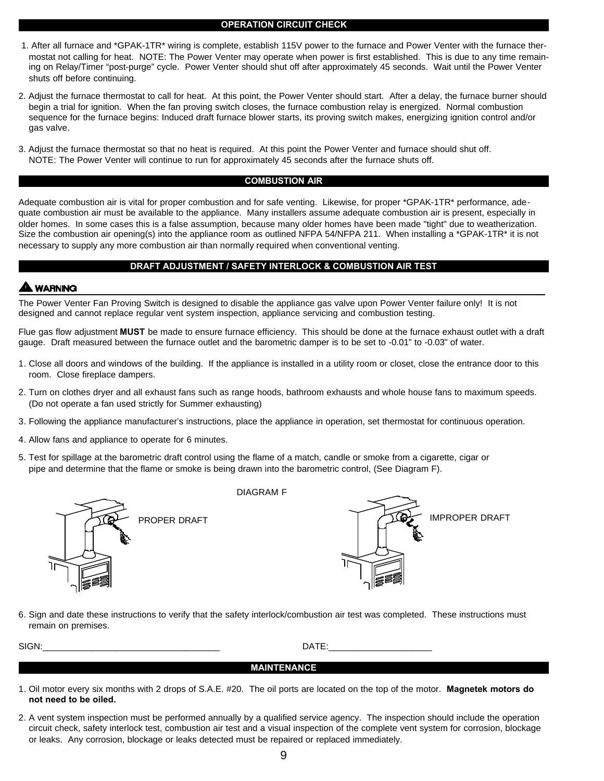#### **OPERATION CIRCUIT CHECK**

- 1. After all furnace and \*GPAK-1TR\* wiring is complete, establish 115V power to the furnace and Power Venter with the furnace thermostat not calling for heat. NOTE: The Power Venter may operate when power is first established. This is due to any time remaining on Relay/Timer "post-purge" cycle. Power Venter should shut off after approximately 45 seconds. Wait until the Power Venter shuts off before continuing.
- 2. Adjust the furnace thermostat to call for heat. At this point, the Power Venter should start. After a delay, the furnace burner should begin a trial for ignition. When the fan proving switch closes, the furnace combustion relay is energized. Normal combustion sequence for the furnace begins: Induced draft furnace blower starts, its proving switch makes, energizing ignition control and/or gas valve.
- 3. Adjust the furnace thermostat so that no heat is required. At this point the Power Venter and furnace should shut off. NOTE: The Power Venter will continue to run for approximately 45 seconds after the furnace shuts off.

#### **COMBUSTION AIR**

Adequate combustion air is vital for proper combustion and for safe venting. Likewise, for proper \*GPAK-1TR\* performance, adequate combustion air must be available to the appliance. Many installers assume adequate combustion air is present, especially in older homes. In some cases this is a false assumption, because many older homes have been made "tight" due to weatherization. Size the combustion air opening(s) into the appliance room as outlined NFPA 54/NFPA 211. When installing a \*GPAK-1TR\* it is not necessary to supply any more combustion air than normally required when conventional venting.

### **DRAFT ADJUSTMENT / SAFETY INTERLOCK & COMBUSTION AIR TEST**

## **WARNING**

The Power Venter Fan Proving Switch is designed to disable the appliance gas valve upon Power Venter failure only! It is not designed and cannot replace regular vent system inspection, appliance servicing and combustion testing.

Flue gas flow adjustment **MUST** be made to ensure furnace efficiency. This should be done at the furnace exhaust outlet with a draft gauge. Draft measured between the furnace outlet and the barometric damper is to be set to -0.01" to -0.03" of water.

- 1. Close all doors and windows of the building. If the appliance is installed in a utility room or closet, close the entrance door to this room. Close fireplace dampers.
- 2. Turn on clothes dryer and all exhaust fans such as range hoods, bathroom exhausts and whole house fans to maximum speeds. (Do not operate a fan used strictly for Summer exhausting)
- 3. Following the appliance manufacturer's instructions, place the appliance in operation, set thermostat for continuous operation.
- 4. Allow fans and appliance to operate for 6 minutes.
- 5. Test for spillage at the barometric draft control using the flame of a match, candle or smoke from a cigarette, cigar or pipe and determine that the flame or smoke is being drawn into the barometric control, (See Diagram F).



DIAGRAM F



6. Sign and date these instructions to verify that the safety interlock/combustion air test was completed. These instructions must remain on premises.

SIGN:\_\_\_\_\_\_\_\_\_\_\_\_\_\_\_\_\_\_\_\_\_\_\_\_\_\_\_\_\_\_\_\_\_\_\_\_ DATE:\_\_\_\_\_\_\_\_\_\_\_\_\_\_\_\_\_\_\_\_\_

#### **MAINTENANCE**

- 1. Oil motor every six months with 2 drops of S.A.E. #20. The oil ports are located on the top of the motor. **Magnetek motors do not need to be oiled.**
- 2. A vent system inspection must be performed annually by a qualified service agency. The inspection should include the operation circuit check, safety interlock test, combustion air test and a visual inspection of the complete vent system for corrosion, blockage or leaks. Any corrosion, blockage or leaks detected must be repaired or replaced immediately.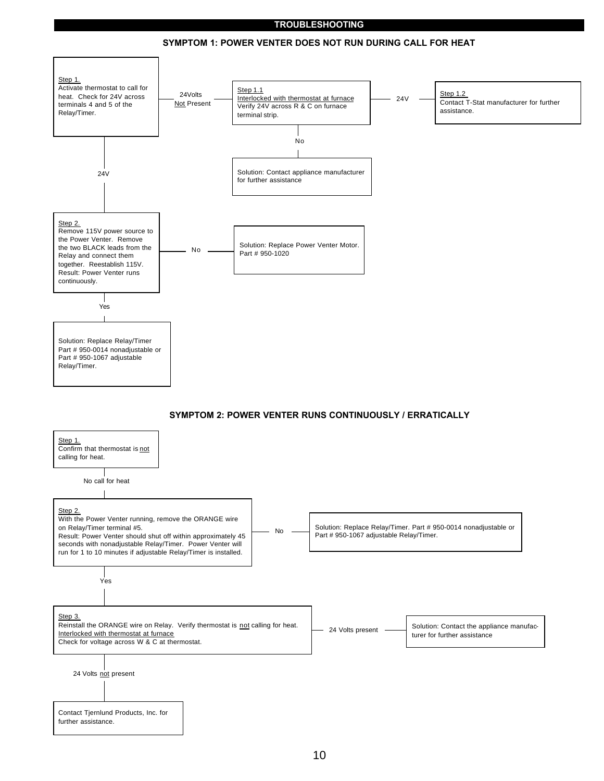### **TROUBLESHOOTING**



#### **SYMPTOM 1: POWER VENTER DOES NOT RUN DURING CALL FOR HEAT**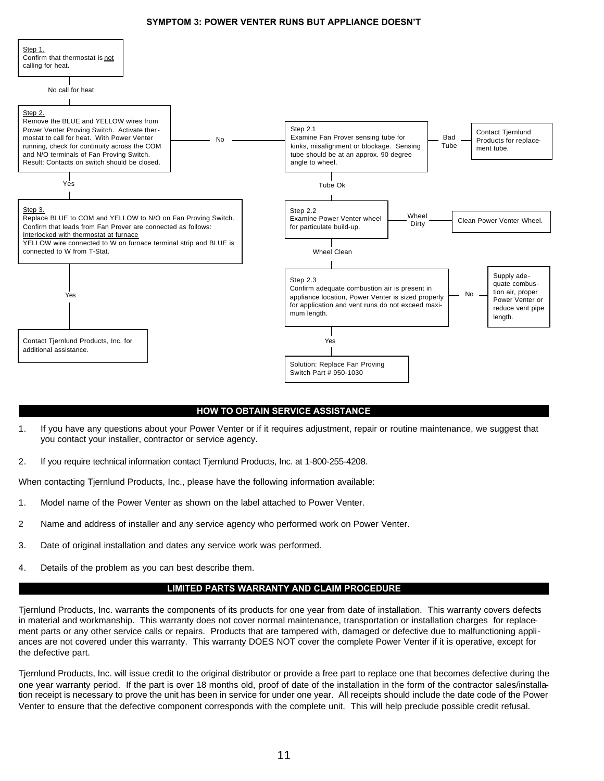#### **SYMPTOM 3: POWER VENTER RUNS BUT APPLIANCE DOESN'T**



#### **HOW TO OBTAIN SERVICE ASSISTANCE**

- 1. If you have any questions about your Power Venter or if it requires adjustment, repair or routine maintenance, we suggest that you contact your installer, contractor or service agency.
- 2. If you require technical information contact Tjernlund Products, Inc. at 1-800-255-4208.

When contacting Tjernlund Products, Inc., please have the following information available:

- 1. Model name of the Power Venter as shown on the label attached to Power Venter.
- 2 Name and address of installer and any service agency who performed work on Power Venter.
- 3. Date of original installation and dates any service work was performed.
- 4. Details of the problem as you can best describe them.

### **LIMITED PARTS WARRANTY AND CLAIM PROCEDURE**

Tjernlund Products, Inc. warrants the components of its products for one year from date of installation. This warranty covers defects in material and workmanship. This warranty does not cover normal maintenance, transportation or installation charges for replacement parts or any other service calls or repairs. Products that are tampered with, damaged or defective due to malfunctioning appliances are not covered under this warranty. This warranty DOES NOT cover the complete Power Venter if it is operative, except for the defective part.

Tjernlund Products, Inc. will issue credit to the original distributor or provide a free part to replace one that becomes defective during the one year warranty period. If the part is over 18 months old, proof of date of the installation in the form of the contractor sales/installation receipt is necessary to prove the unit has been in service for under one year. All receipts should include the date code of the Power Venter to ensure that the defective component corresponds with the complete unit. This will help preclude possible credit refusal.